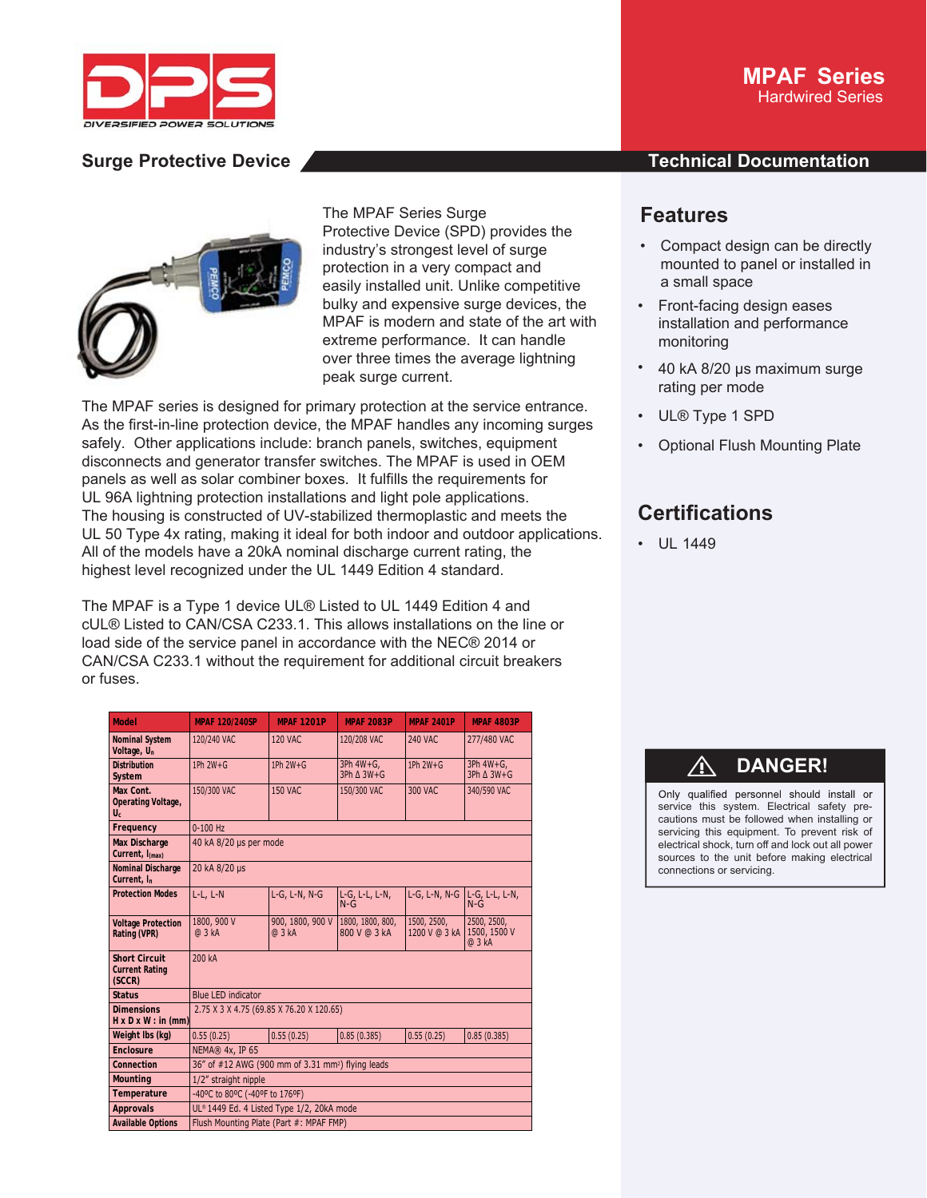



The MPAF Series Surge Protective Device (SPD) provides the industry's strongest level of surge protection in a very compact and easily installed unit. Unlike competitive bulky and expensive surge devices, the MPAF is modern and state of the art with extreme performance. It can handle over three times the average lightning peak surge current.

The MPAF series is designed for primary protection at the service entrance. As the first-in-line protection device, the MPAF handles any incoming surges safely. Other applications include: branch panels, switches, equipment disconnects and generator transfer switches. The MPAF is used in OEM panels as well as solar combiner boxes. It fulfills the requirements for UL 96A lightning protection installations and light pole applications. The housing is constructed of UV-stabilized thermoplastic and meets the UL 50 Type 4x rating, making it ideal for both indoor and outdoor applications. All of the models have a 20kA nominal discharge current rating, the highest level recognized under the UL 1449 Edition 4 standard.

The MPAF is a Type 1 device UL® Listed to UL 1449 Edition 4 and cUL® Listed to CAN/CSA C233.1. This allows installations on the line or load side of the service panel in accordance with the NEC® 2014 or CAN/CSA C233.1 without the requirement for additional circuit breakers or fuses.

| <b>Model</b>                                            | <b>MPAF 120/240SP</b>                                         | <b>MPAF 1201P</b>          | <b>MPAF 2083P</b>                   | <b>MPAF 2401P</b>            | <b>MPAF 4803P</b>                       |
|---------------------------------------------------------|---------------------------------------------------------------|----------------------------|-------------------------------------|------------------------------|-----------------------------------------|
| <b>Nominal System</b><br>Voltage, U <sub>n</sub>        | 120/240 VAC                                                   | <b>120 VAC</b>             | 120/208 VAC                         | <b>240 VAC</b>               | 277/480 VAC                             |
| <b>Distribution</b><br>System                           | 1Ph 2W+G                                                      | 1Ph $2W + G$               | 3Ph 4W+G,<br>$3Ph \triangle 3W + G$ | 1Ph $2W+G$                   | $3Ph 4W + G,$<br>$3Ph \triangle 3W + G$ |
| Max Cont.<br>Operating Voltage,<br>$U_c$                | 150/300 VAC                                                   | <b>150 VAC</b>             | 150/300 VAC                         | <b>300 VAC</b>               | 340/590 VAC                             |
| Frequency                                               | $0-100$ Hz                                                    |                            |                                     |                              |                                         |
| <b>Max Discharge</b><br>Current, I <sub>(max)</sub>     | 40 kA 8/20 µs per mode                                        |                            |                                     |                              |                                         |
| Nominal Discharge<br>Current, I <sub>n</sub>            | 20 kA 8/20 µs                                                 |                            |                                     |                              |                                         |
| <b>Protection Modes</b>                                 | $L-L, L-N$                                                    | L-G, L-N, N-G              | L-G, L-L, L-N,<br>$N - G$           | L-G, L-N, N-G                | L-G, L-L, L-N,<br>$N-G$                 |
| <b>Voltage Protection</b><br>Rating (VPR)               | 1800, 900 V<br>@ 3 kA                                         | 900, 1800, 900 V<br>@ 3 kA | 1800, 1800, 800,<br>800 V @ 3 kA    | 1500, 2500,<br>1200 V @ 3 kA | 2500, 2500,<br>1500, 1500 V<br>@ 3 kA   |
| <b>Short Circuit</b><br><b>Current Rating</b><br>(SCCR) | 200 kA                                                        |                            |                                     |                              |                                         |
| <b>Status</b>                                           | <b>Blue LED indicator</b>                                     |                            |                                     |                              |                                         |
| <b>Dimensions</b><br>$H \times D \times W$ : in (mm)    | 2.75 X 3 X 4.75 (69.85 X 76.20 X 120.65)                      |                            |                                     |                              |                                         |
| Weight Ibs (kg)                                         | 0.55(0.25)                                                    | 0.55(0.25)                 | 0.85(0.385)                         | 0.55(0.25)                   | 0.85(0.385)                             |
| Enclosure                                               | NEMA® 4x, IP 65                                               |                            |                                     |                              |                                         |
| Connection                                              | 36" of #12 AWG (900 mm of 3.31 mm <sup>2</sup> ) flying leads |                            |                                     |                              |                                         |
| <b>Mounting</b>                                         | 1/2" straight nipple                                          |                            |                                     |                              |                                         |
| Temperature                                             | -40°C to 80°C (-40°F to 176°F)                                |                            |                                     |                              |                                         |
| <b>Approvals</b>                                        | UL® 1449 Ed. 4 Listed Type 1/2, 20kA mode                     |                            |                                     |                              |                                         |
| <b>Available Options</b>                                | Flush Mounting Plate (Part #: MPAF FMP)                       |                            |                                     |                              |                                         |

## **MPAF Series** Hardwired Series

## **Surge Protective Device And According to the Contract Documentation**

# **Features**

- Compact design can be directly mounted to panel or installed in a small space
- Front-facing design eases installation and performance monitoring
- 40 kA 8/20 μs maximum surge rating per mode
- UL® Type 1 SPD
- Optional Flush Mounting Plate

# **Certifications**

• UL 1449

# ⚠ **DANGER!**

Only qualified personnel should install or service this system. Electrical safety precautions must be followed when installing or servicing this equipment. To prevent risk of electrical shock, turn off and lock out all power sources to the unit before making electrical connections or servicing.